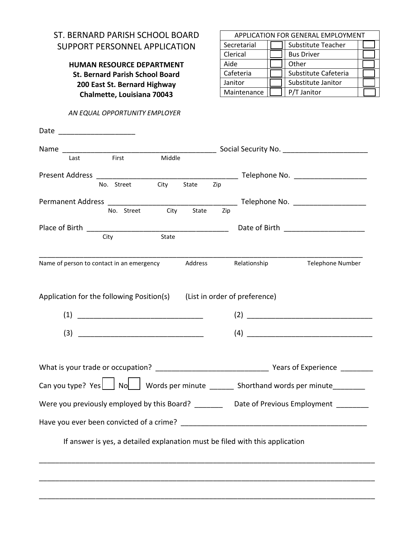## ST. BERNARD PARISH SCHOOL BOARD SUPPORT PERSONNEL APPLICATION

**HUMAN RESOURCE DEPARTMENT St. Bernard Parish School Board 200 East St. Bernard Highway Chalmette, Louisiana 70043** 

 *AN EQUAL OPPORTUNITY EMPLOYER* 

|  | APPLICATION FOR GENERAL EMPLOYMENT |  |                      |  |  |  |  |
|--|------------------------------------|--|----------------------|--|--|--|--|
|  | Secretarial                        |  | Substitute Teacher   |  |  |  |  |
|  | Clerical<br>Aide<br>Cafeteria      |  | <b>Bus Driver</b>    |  |  |  |  |
|  |                                    |  | Other                |  |  |  |  |
|  |                                    |  | Substitute Cafeteria |  |  |  |  |
|  | Janitor                            |  | Substitute Janitor   |  |  |  |  |
|  | Maintenance                        |  | P/T Janitor          |  |  |  |  |

| Date                                                                    |              |                  |        |         |     |                                                                                           |                  |
|-------------------------------------------------------------------------|--------------|------------------|--------|---------|-----|-------------------------------------------------------------------------------------------|------------------|
|                                                                         |              |                  |        |         |     |                                                                                           |                  |
| Last                                                                    | <b>First</b> |                  | Middle |         |     |                                                                                           |                  |
|                                                                         |              |                  |        |         |     |                                                                                           |                  |
|                                                                         |              | No. Street       | City   | State   | Zip |                                                                                           |                  |
|                                                                         |              |                  |        |         |     |                                                                                           |                  |
|                                                                         |              | No. Street       | City   | State   | Zip |                                                                                           |                  |
|                                                                         |              |                  |        |         |     |                                                                                           |                  |
|                                                                         | City         |                  | State  |         |     |                                                                                           |                  |
| Name of person to contact in an emergency                               |              |                  |        | Address |     | Relationship                                                                              | Telephone Number |
| Application for the following Position(s) (List in order of preference) |              |                  |        |         |     |                                                                                           |                  |
|                                                                         |              |                  |        |         |     | (2)                                                                                       |                  |
|                                                                         |              | $\left(3\right)$ |        |         |     | (4)                                                                                       |                  |
|                                                                         |              |                  |        |         |     |                                                                                           |                  |
|                                                                         |              |                  |        |         |     |                                                                                           |                  |
|                                                                         |              |                  |        |         |     | Can you type? Yes   No   Words per minute _______ Shorthand words per minute_____         |                  |
|                                                                         |              |                  |        |         |     | Were you previously employed by this Board? ________ Date of Previous Employment ________ |                  |
|                                                                         |              |                  |        |         |     |                                                                                           |                  |
|                                                                         |              |                  |        |         |     | If answer is yes, a detailed explanation must be filed with this application              |                  |
|                                                                         |              |                  |        |         |     |                                                                                           |                  |
|                                                                         |              |                  |        |         |     |                                                                                           |                  |

\_\_\_\_\_\_\_\_\_\_\_\_\_\_\_\_\_\_\_\_\_\_\_\_\_\_\_\_\_\_\_\_\_\_\_\_\_\_\_\_\_\_\_\_\_\_\_\_\_\_\_\_\_\_\_\_\_\_\_\_\_\_\_\_\_\_\_\_\_\_\_\_\_\_\_\_\_\_\_\_\_\_\_

\_\_\_\_\_\_\_\_\_\_\_\_\_\_\_\_\_\_\_\_\_\_\_\_\_\_\_\_\_\_\_\_\_\_\_\_\_\_\_\_\_\_\_\_\_\_\_\_\_\_\_\_\_\_\_\_\_\_\_\_\_\_\_\_\_\_\_\_\_\_\_\_\_\_\_\_\_\_\_\_\_\_\_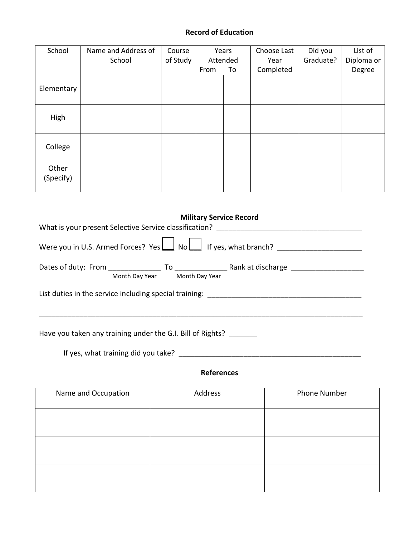## **Record of Education**

| School             | Name and Address of | Course   | Years |          | Choose Last | Did you   | List of    |
|--------------------|---------------------|----------|-------|----------|-------------|-----------|------------|
|                    | School              | of Study |       | Attended | Year        | Graduate? | Diploma or |
|                    |                     |          | From  | To       | Completed   |           | Degree     |
| Elementary         |                     |          |       |          |             |           |            |
| High               |                     |          |       |          |             |           |            |
| College            |                     |          |       |          |             |           |            |
| Other<br>(Specify) |                     |          |       |          |             |           |            |

|                                                                                  |                               | <b>Military Service Record</b> |                                                                                                                                                                                  |  |  |  |  |  |  |  |
|----------------------------------------------------------------------------------|-------------------------------|--------------------------------|----------------------------------------------------------------------------------------------------------------------------------------------------------------------------------|--|--|--|--|--|--|--|
|                                                                                  |                               |                                |                                                                                                                                                                                  |  |  |  |  |  |  |  |
|                                                                                  |                               |                                | Were you in U.S. Armed Forces? Yes $\boxed{\underline{\hspace{1cm}}}$ No $\boxed{\phantom{\underline{\hspace{1cm}}} }$ If yes, what branch? $\phantom{\underline{\hspace{1cm}}}$ |  |  |  |  |  |  |  |
|                                                                                  | Month Day Year Month Day Year |                                |                                                                                                                                                                                  |  |  |  |  |  |  |  |
| List duties in the service including special training: _________________________ |                               |                                |                                                                                                                                                                                  |  |  |  |  |  |  |  |
| Have you taken any training under the G.I. Bill of Rights?                       |                               |                                |                                                                                                                                                                                  |  |  |  |  |  |  |  |

If yes, what training did you take? \_\_\_\_\_\_\_\_\_\_\_\_\_\_\_\_\_\_\_\_\_\_\_\_\_\_\_\_\_\_\_\_\_\_\_\_\_\_\_\_\_\_\_\_\_

**References** 

| Name and Occupation | Address | Phone Number |
|---------------------|---------|--------------|
|                     |         |              |
|                     |         |              |
|                     |         |              |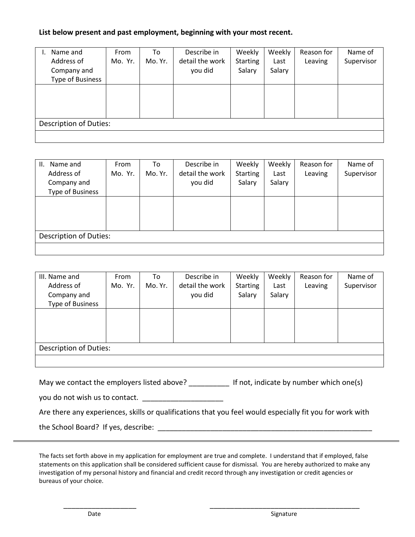## **List below present and past employment, beginning with your most recent.**

| Name and                      | From    | To      | Describe in     | Weekly          | Weekly | Reason for | Name of    |  |
|-------------------------------|---------|---------|-----------------|-----------------|--------|------------|------------|--|
| Address of                    | Mo. Yr. | Mo. Yr. | detail the work | <b>Starting</b> | Last   | Leaving    | Supervisor |  |
| Company and                   |         |         | you did         | Salary          | Salary |            |            |  |
| Type of Business              |         |         |                 |                 |        |            |            |  |
|                               |         |         |                 |                 |        |            |            |  |
|                               |         |         |                 |                 |        |            |            |  |
|                               |         |         |                 |                 |        |            |            |  |
|                               |         |         |                 |                 |        |            |            |  |
| <b>Description of Duties:</b> |         |         |                 |                 |        |            |            |  |
|                               |         |         |                 |                 |        |            |            |  |

| Name and<br>Ш.                | From    | To      | Describe in     | Weekly          | Weekly | Reason for | Name of    |  |  |
|-------------------------------|---------|---------|-----------------|-----------------|--------|------------|------------|--|--|
| Address of                    | Mo. Yr. | Mo. Yr. | detail the work | <b>Starting</b> | Last   | Leaving    | Supervisor |  |  |
| Company and                   |         |         | you did         | Salary          | Salary |            |            |  |  |
| <b>Type of Business</b>       |         |         |                 |                 |        |            |            |  |  |
|                               |         |         |                 |                 |        |            |            |  |  |
|                               |         |         |                 |                 |        |            |            |  |  |
|                               |         |         |                 |                 |        |            |            |  |  |
|                               |         |         |                 |                 |        |            |            |  |  |
| <b>Description of Duties:</b> |         |         |                 |                 |        |            |            |  |  |
|                               |         |         |                 |                 |        |            |            |  |  |

| III. Name and                 | From    | To      | Describe in     | Weekly          | Weekly | Reason for | Name of    |  |  |
|-------------------------------|---------|---------|-----------------|-----------------|--------|------------|------------|--|--|
| Address of                    | Mo. Yr. | Mo. Yr. | detail the work | <b>Starting</b> | Last   | Leaving    | Supervisor |  |  |
| Company and                   |         |         | you did         | Salary          | Salary |            |            |  |  |
| <b>Type of Business</b>       |         |         |                 |                 |        |            |            |  |  |
|                               |         |         |                 |                 |        |            |            |  |  |
|                               |         |         |                 |                 |        |            |            |  |  |
|                               |         |         |                 |                 |        |            |            |  |  |
|                               |         |         |                 |                 |        |            |            |  |  |
| <b>Description of Duties:</b> |         |         |                 |                 |        |            |            |  |  |
|                               |         |         |                 |                 |        |            |            |  |  |

May we contact the employers listed above? \_\_\_\_\_\_\_\_\_\_\_\_ If not, indicate by number which one(s)

you do not wish us to contact.

Are there any experiences, skills or qualifications that you feel would especially fit you for work with

the School Board? If yes, describe:  $\blacksquare$ 

The facts set forth above in my application for employment are true and complete. I understand that if employed, false statements on this application shall be considered sufficient cause for dismissal. You are hereby authorized to make any investigation of my personal history and financial and credit record through any investigation or credit agencies or bureaus of your choice.

\_\_\_\_\_\_\_\_\_\_\_\_\_\_\_\_\_\_ \_\_\_\_\_\_\_\_\_\_\_\_\_\_\_\_\_\_\_\_\_\_\_\_\_\_\_\_\_\_\_\_\_\_\_\_\_